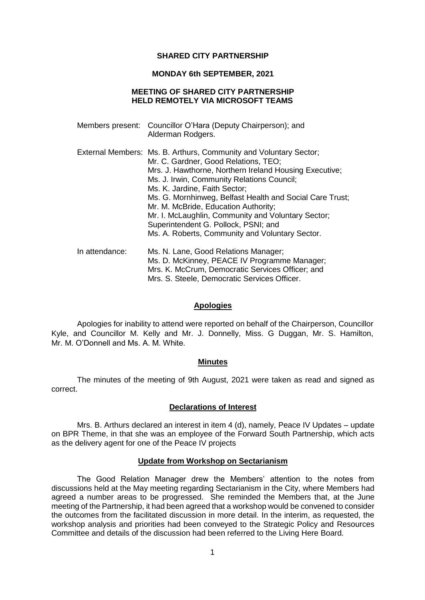#### **SHARED CITY PARTNERSHIP**

#### **MONDAY 6th SEPTEMBER, 2021**

### **MEETING OF SHARED CITY PARTNERSHIP HELD REMOTELY VIA MICROSOFT TEAMS**

|                | Members present: Councillor O'Hara (Deputy Chairperson); and<br>Alderman Rodgers.                                                                                                                                                                                                                                                                                                                                                                                                                       |
|----------------|---------------------------------------------------------------------------------------------------------------------------------------------------------------------------------------------------------------------------------------------------------------------------------------------------------------------------------------------------------------------------------------------------------------------------------------------------------------------------------------------------------|
|                | External Members: Ms. B. Arthurs, Community and Voluntary Sector;<br>Mr. C. Gardner, Good Relations, TEO;<br>Mrs. J. Hawthorne, Northern Ireland Housing Executive;<br>Ms. J. Irwin, Community Relations Council;<br>Ms. K. Jardine, Faith Sector;<br>Ms. G. Mornhinweg, Belfast Health and Social Care Trust;<br>Mr. M. McBride, Education Authority;<br>Mr. I. McLaughlin, Community and Voluntary Sector;<br>Superintendent G. Pollock, PSNI; and<br>Ms. A. Roberts, Community and Voluntary Sector. |
| In attendance: | Ms. N. Lane, Good Relations Manager;<br>Ms. D. McKinney, PEACE IV Programme Manager;<br>Mrs. K. McCrum, Democratic Services Officer; and<br>Mrs. S. Steele, Democratic Services Officer.                                                                                                                                                                                                                                                                                                                |

#### **Apologies**

Apologies for inability to attend were reported on behalf of the Chairperson, Councillor Kyle, and Councillor M. Kelly and Mr. J. Donnelly, Miss. G Duggan, Mr. S. Hamilton, Mr. M. O'Donnell and Ms. A. M. White.

#### **Minutes**

The minutes of the meeting of 9th August, 2021 were taken as read and signed as correct.

#### **Declarations of Interest**

Mrs. B. Arthurs declared an interest in item 4 (d), namely, Peace IV Updates – update on BPR Theme, in that she was an employee of the Forward South Partnership, which acts as the delivery agent for one of the Peace IV projects

### **Update from Workshop on Sectarianism**

The Good Relation Manager drew the Members' attention to the notes from discussions held at the May meeting regarding Sectarianism in the City, where Members had agreed a number areas to be progressed. She reminded the Members that, at the June meeting of the Partnership, it had been agreed that a workshop would be convened to consider the outcomes from the facilitated discussion in more detail. In the interim, as requested, the workshop analysis and priorities had been conveyed to the Strategic Policy and Resources Committee and details of the discussion had been referred to the Living Here Board.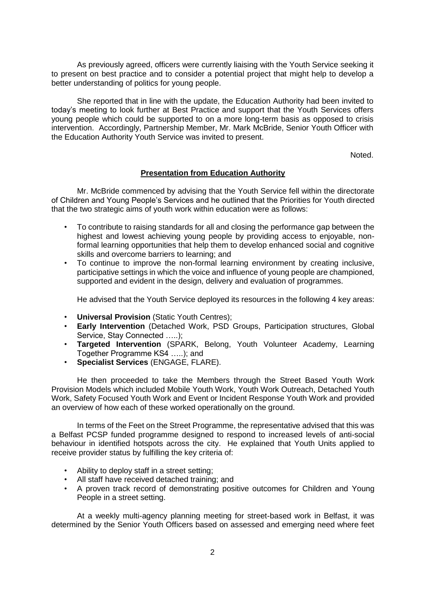As previously agreed, officers were currently liaising with the Youth Service seeking it to present on best practice and to consider a potential project that might help to develop a better understanding of politics for young people.

She reported that in line with the update, the Education Authority had been invited to today's meeting to look further at Best Practice and support that the Youth Services offers young people which could be supported to on a more long-term basis as opposed to crisis intervention. Accordingly, Partnership Member, Mr. Mark McBride, Senior Youth Officer with the Education Authority Youth Service was invited to present.

Noted.

## **Presentation from Education Authority**

Mr. McBride commenced by advising that the Youth Service fell within the directorate of Children and Young People's Services and he outlined that the Priorities for Youth directed that the two strategic aims of youth work within education were as follows:

- To contribute to raising standards for all and closing the performance gap between the highest and lowest achieving young people by providing access to enjoyable, nonformal learning opportunities that help them to develop enhanced social and cognitive skills and overcome barriers to learning; and
- To continue to improve the non-formal learning environment by creating inclusive, participative settings in which the voice and influence of young people are championed, supported and evident in the design, delivery and evaluation of programmes.

He advised that the Youth Service deployed its resources in the following 4 key areas:

- **Universal Provision** (Static Youth Centres);
- **Early Intervention** (Detached Work, PSD Groups, Participation structures, Global Service, Stay Connected .....);
- **Targeted Intervention** (SPARK, Belong, Youth Volunteer Academy, Learning Together Programme KS4 …..); and
- **Specialist Services** (ENGAGE, FLARE).

He then proceeded to take the Members through the Street Based Youth Work Provision Models which included Mobile Youth Work, Youth Work Outreach, Detached Youth Work, Safety Focused Youth Work and Event or Incident Response Youth Work and provided an overview of how each of these worked operationally on the ground.

In terms of the Feet on the Street Programme, the representative advised that this was a Belfast PCSP funded programme designed to respond to increased levels of anti-social behaviour in identified hotspots across the city. He explained that Youth Units applied to receive provider status by fulfilling the key criteria of:

- Ability to deploy staff in a street setting;
- All staff have received detached training; and
- A proven track record of demonstrating positive outcomes for Children and Young People in a street setting.

At a weekly multi-agency planning meeting for street-based work in Belfast, it was determined by the Senior Youth Officers based on assessed and emerging need where feet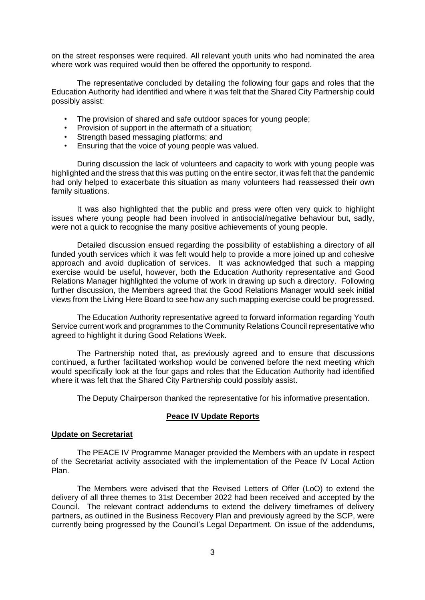on the street responses were required. All relevant youth units who had nominated the area where work was required would then be offered the opportunity to respond.

The representative concluded by detailing the following four gaps and roles that the Education Authority had identified and where it was felt that the Shared City Partnership could possibly assist:

- The provision of shared and safe outdoor spaces for young people;
- Provision of support in the aftermath of a situation;
- Strength based messaging platforms; and
- Ensuring that the voice of young people was valued.

During discussion the lack of volunteers and capacity to work with young people was highlighted and the stress that this was putting on the entire sector, it was felt that the pandemic had only helped to exacerbate this situation as many volunteers had reassessed their own family situations.

It was also highlighted that the public and press were often very quick to highlight issues where young people had been involved in antisocial/negative behaviour but, sadly, were not a quick to recognise the many positive achievements of young people.

Detailed discussion ensued regarding the possibility of establishing a directory of all funded youth services which it was felt would help to provide a more joined up and cohesive approach and avoid duplication of services. It was acknowledged that such a mapping exercise would be useful, however, both the Education Authority representative and Good Relations Manager highlighted the volume of work in drawing up such a directory. Following further discussion, the Members agreed that the Good Relations Manager would seek initial views from the Living Here Board to see how any such mapping exercise could be progressed.

The Education Authority representative agreed to forward information regarding Youth Service current work and programmes to the Community Relations Council representative who agreed to highlight it during Good Relations Week.

The Partnership noted that, as previously agreed and to ensure that discussions continued, a further facilitated workshop would be convened before the next meeting which would specifically look at the four gaps and roles that the Education Authority had identified where it was felt that the Shared City Partnership could possibly assist.

The Deputy Chairperson thanked the representative for his informative presentation.

#### **Peace IV Update Reports**

#### **Update on Secretariat**

The PEACE IV Programme Manager provided the Members with an update in respect of the Secretariat activity associated with the implementation of the Peace IV Local Action Plan.

The Members were advised that the Revised Letters of Offer (LoO) to extend the delivery of all three themes to 31st December 2022 had been received and accepted by the Council. The relevant contract addendums to extend the delivery timeframes of delivery partners, as outlined in the Business Recovery Plan and previously agreed by the SCP, were currently being progressed by the Council's Legal Department. On issue of the addendums,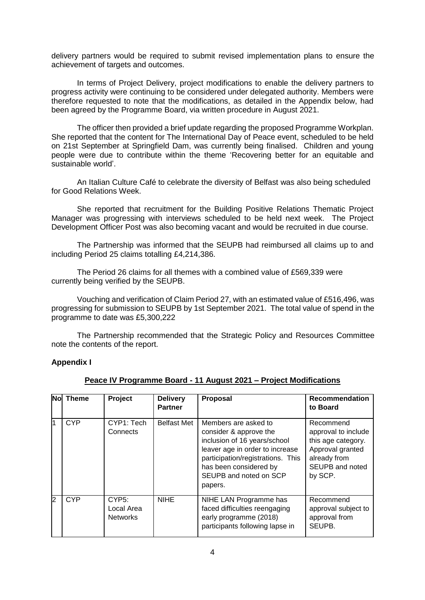delivery partners would be required to submit revised implementation plans to ensure the achievement of targets and outcomes.

In terms of Project Delivery, project modifications to enable the delivery partners to progress activity were continuing to be considered under delegated authority. Members were therefore requested to note that the modifications, as detailed in the Appendix below, had been agreed by the Programme Board, via written procedure in August 2021.

The officer then provided a brief update regarding the proposed Programme Workplan. She reported that the content for The International Day of Peace event, scheduled to be held on 21st September at Springfield Dam, was currently being finalised. Children and young people were due to contribute within the theme 'Recovering better for an equitable and sustainable world'.

An Italian Culture Café to celebrate the diversity of Belfast was also being scheduled for Good Relations Week.

She reported that recruitment for the Building Positive Relations Thematic Project Manager was progressing with interviews scheduled to be held next week. The Project Development Officer Post was also becoming vacant and would be recruited in due course.

The Partnership was informed that the SEUPB had reimbursed all claims up to and including Period 25 claims totalling £4,214,386.

The Period 26 claims for all themes with a combined value of £569,339 were currently being verified by the SEUPB.

Vouching and verification of Claim Period 27, with an estimated value of £516,496, was progressing for submission to SEUPB by 1st September 2021. The total value of spend in the programme to date was £5,300,222

The Partnership recommended that the Strategic Policy and Resources Committee note the contents of the report.

### **Appendix I**

| Nol | Theme      | Project                                | <b>Delivery</b><br><b>Partner</b> | <b>Proposal</b>                                                                                                                                                                                                       | <b>Recommendation</b><br>to Board                                                                                        |
|-----|------------|----------------------------------------|-----------------------------------|-----------------------------------------------------------------------------------------------------------------------------------------------------------------------------------------------------------------------|--------------------------------------------------------------------------------------------------------------------------|
| 1   | <b>CYP</b> | CYP1: Tech<br>Connects                 | <b>Belfast Met</b>                | Members are asked to<br>consider & approve the<br>inclusion of 16 years/school<br>leaver age in order to increase<br>participation/registrations. This<br>has been considered by<br>SEUPB and noted on SCP<br>papers. | Recommend<br>approval to include<br>this age category.<br>Approval granted<br>already from<br>SEUPB and noted<br>by SCP. |
| 2   | <b>CYP</b> | CYP5:<br>Local Area<br><b>Networks</b> | <b>NIHE</b>                       | NIHE LAN Programme has<br>faced difficulties reengaging<br>early programme (2018)<br>participants following lapse in                                                                                                  | Recommend<br>approval subject to<br>approval from<br>SEUPB.                                                              |

#### **Peace IV Programme Board - 11 August 2021 – Project Modifications**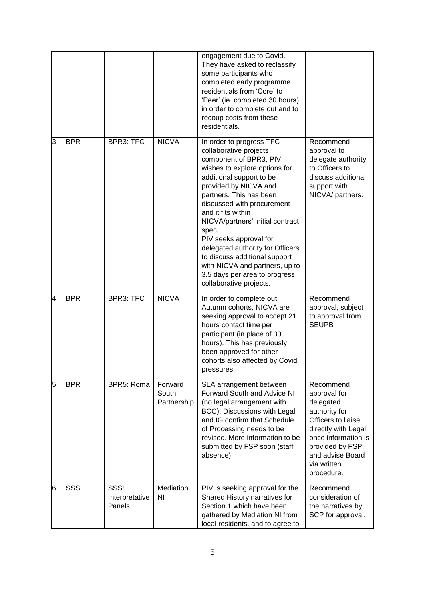|   |            |                                  |                                 | engagement due to Covid.<br>They have asked to reclassify<br>some participants who<br>completed early programme<br>residentials from 'Core' to<br>'Peer' (ie. completed 30 hours)<br>in order to complete out and to<br>recoup costs from these<br>residentials.                                                                                                                                                                                                                            |                                                                                                                                                                                                   |
|---|------------|----------------------------------|---------------------------------|---------------------------------------------------------------------------------------------------------------------------------------------------------------------------------------------------------------------------------------------------------------------------------------------------------------------------------------------------------------------------------------------------------------------------------------------------------------------------------------------|---------------------------------------------------------------------------------------------------------------------------------------------------------------------------------------------------|
| 3 | <b>BPR</b> | <b>BPR3: TFC</b>                 | <b>NICVA</b>                    | In order to progress TFC<br>collaborative projects<br>component of BPR3, PIV<br>wishes to explore options for<br>additional support to be<br>provided by NICVA and<br>partners. This has been<br>discussed with procurement<br>and it fits within<br>NICVA/partners' initial contract<br>spec.<br>PIV seeks approval for<br>delegated authority for Officers<br>to discuss additional support<br>with NICVA and partners, up to<br>3.5 days per area to progress<br>collaborative projects. | Recommend<br>approval to<br>delegate authority<br>to Officers to<br>discuss additional<br>support with<br>NICVA/ partners.                                                                        |
| 4 | <b>BPR</b> | <b>BPR3: TFC</b>                 | <b>NICVA</b>                    | In order to complete out<br>Autumn cohorts, NICVA are<br>seeking approval to accept 21<br>hours contact time per<br>participant (in place of 30<br>hours). This has previously<br>been approved for other<br>cohorts also affected by Covid<br>pressures.                                                                                                                                                                                                                                   | Recommend<br>approval, subject<br>to approval from<br><b>SEUPB</b>                                                                                                                                |
| 5 | <b>BPR</b> | BPR5: Roma                       | Forward<br>South<br>Partnership | SLA arrangement between<br>Forward South and Advice NI<br>(no legal arrangement with<br>BCC). Discussions with Legal<br>and IG confirm that Schedule<br>of Processing needs to be<br>revised. More information to be<br>submitted by FSP soon (staff<br>absence).                                                                                                                                                                                                                           | Recommend<br>approval for<br>delegated<br>authority for<br>Officers to liaise<br>directly with Legal,<br>once information is<br>provided by FSP,<br>and advise Board<br>via written<br>procedure. |
| 6 | SSS        | SSS:<br>Interpretative<br>Panels | Mediation<br>ΝI                 | PIV is seeking approval for the<br>Shared History narratives for<br>Section 1 which have been<br>gathered by Mediation NI from<br>local residents, and to agree to                                                                                                                                                                                                                                                                                                                          | Recommend<br>consideration of<br>the narratives by<br>SCP for approval.                                                                                                                           |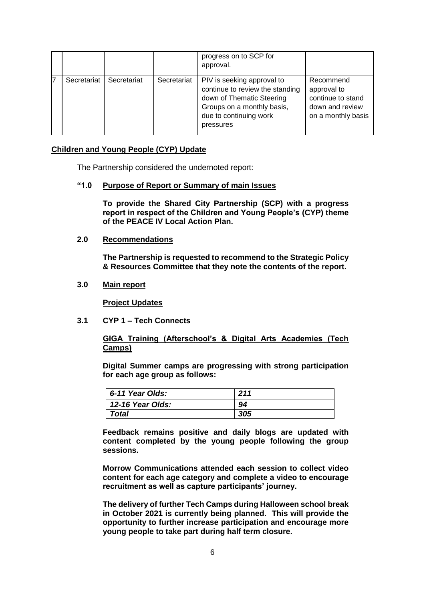|             |             |             | progress on to SCP for<br>approval.                                                                                                                             |                                                                                        |
|-------------|-------------|-------------|-----------------------------------------------------------------------------------------------------------------------------------------------------------------|----------------------------------------------------------------------------------------|
| Secretariat | Secretariat | Secretariat | PIV is seeking approval to<br>continue to review the standing<br>down of Thematic Steering<br>Groups on a monthly basis,<br>due to continuing work<br>pressures | Recommend<br>approval to<br>continue to stand<br>down and review<br>on a monthly basis |

### **Children and Young People (CYP) Update**

The Partnership considered the undernoted report:

### **"1.0 Purpose of Report or Summary of main Issues**

**To provide the Shared City Partnership (SCP) with a progress report in respect of the Children and Young People's (CYP) theme of the PEACE IV Local Action Plan.**

## **2.0 Recommendations**

**The Partnership is requested to recommend to the Strategic Policy & Resources Committee that they note the contents of the report.**

## **3.0 Main report**

**Project Updates**

**3.1 CYP 1 – Tech Connects**

### **GIGA Training (Afterschool's & Digital Arts Academies (Tech Camps)**

**Digital Summer camps are progressing with strong participation for each age group as follows:** 

| 6-11 Year Olds:  | 211 |
|------------------|-----|
| 12-16 Year Olds: | 94  |
| Total            | 305 |

**Feedback remains positive and daily blogs are updated with content completed by the young people following the group sessions.** 

**Morrow Communications attended each session to collect video content for each age category and complete a video to encourage recruitment as well as capture participants' journey.** 

**The delivery of further Tech Camps during Halloween school break in October 2021 is currently being planned. This will provide the opportunity to further increase participation and encourage more young people to take part during half term closure.**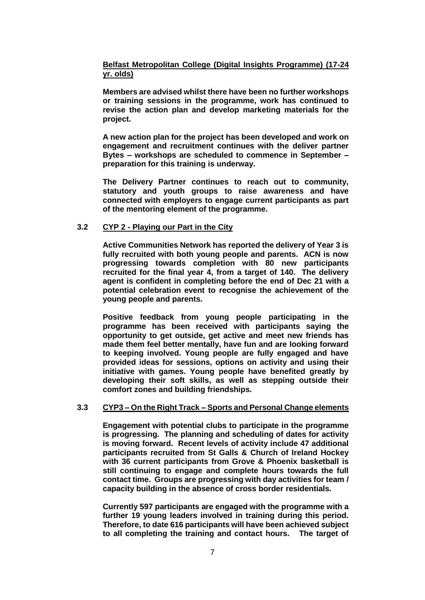## **Belfast Metropolitan College (Digital Insights Programme) (17-24 yr. olds)**

**Members are advised whilst there have been no further workshops or training sessions in the programme, work has continued to revise the action plan and develop marketing materials for the project.**

**A new action plan for the project has been developed and work on engagement and recruitment continues with the deliver partner Bytes – workshops are scheduled to commence in September – preparation for this training is underway.**

**The Delivery Partner continues to reach out to community, statutory and youth groups to raise awareness and have connected with employers to engage current participants as part of the mentoring element of the programme.** 

## **3.2 CYP 2 - Playing our Part in the City**

**Active Communities Network has reported the delivery of Year 3 is fully recruited with both young people and parents. ACN is now progressing towards completion with 80 new participants recruited for the final year 4, from a target of 140. The delivery agent is confident in completing before the end of Dec 21 with a potential celebration event to recognise the achievement of the young people and parents.** 

**Positive feedback from young people participating in the programme has been received with participants saying the opportunity to get outside, get active and meet new friends has made them feel better mentally, have fun and are looking forward to keeping involved. Young people are fully engaged and have provided ideas for sessions, options on activity and using their initiative with games. Young people have benefited greatly by developing their soft skills, as well as stepping outside their comfort zones and building friendships.**

## **3.3 CYP3 – On the Right Track – Sports and Personal Change elements**

**Engagement with potential clubs to participate in the programme is progressing. The planning and scheduling of dates for activity is moving forward. Recent levels of activity include 47 additional participants recruited from St Galls & Church of Ireland Hockey with 36 current participants from Grove & Phoenix basketball is still continuing to engage and complete hours towards the full contact time. Groups are progressing with day activities for team / capacity building in the absence of cross border residentials.**

**Currently 597 participants are engaged with the programme with a further 19 young leaders involved in training during this period. Therefore, to date 616 participants will have been achieved subject to all completing the training and contact hours. The target of**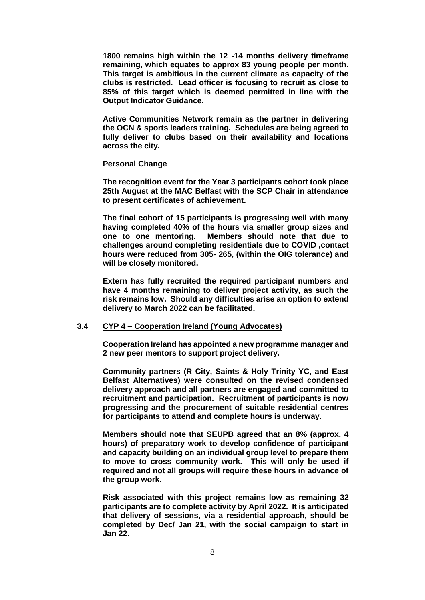**1800 remains high within the 12 -14 months delivery timeframe remaining, which equates to approx 83 young people per month. This target is ambitious in the current climate as capacity of the clubs is restricted. Lead officer is focusing to recruit as close to 85% of this target which is deemed permitted in line with the Output Indicator Guidance.** 

**Active Communities Network remain as the partner in delivering the OCN & sports leaders training. Schedules are being agreed to fully deliver to clubs based on their availability and locations across the city.** 

#### **Personal Change**

**The recognition event for the Year 3 participants cohort took place 25th August at the MAC Belfast with the SCP Chair in attendance to present certificates of achievement.** 

**The final cohort of 15 participants is progressing well with many having completed 40% of the hours via smaller group sizes and one to one mentoring. Members should note that due to challenges around completing residentials due to COVID ,contact hours were reduced from 305- 265, (within the OIG tolerance) and will be closely monitored.**

**Extern has fully recruited the required participant numbers and have 4 months remaining to deliver project activity, as such the risk remains low. Should any difficulties arise an option to extend delivery to March 2022 can be facilitated.** 

### **3.4 CYP 4 – Cooperation Ireland (Young Advocates)**

**Cooperation Ireland has appointed a new programme manager and 2 new peer mentors to support project delivery.** 

**Community partners (R City, Saints & Holy Trinity YC, and East Belfast Alternatives) were consulted on the revised condensed delivery approach and all partners are engaged and committed to recruitment and participation. Recruitment of participants is now progressing and the procurement of suitable residential centres for participants to attend and complete hours is underway.** 

**Members should note that SEUPB agreed that an 8% (approx. 4 hours) of preparatory work to develop confidence of participant and capacity building on an individual group level to prepare them to move to cross community work. This will only be used if required and not all groups will require these hours in advance of the group work.** 

**Risk associated with this project remains low as remaining 32 participants are to complete activity by April 2022. It is anticipated that delivery of sessions, via a residential approach, should be completed by Dec/ Jan 21, with the social campaign to start in Jan 22.**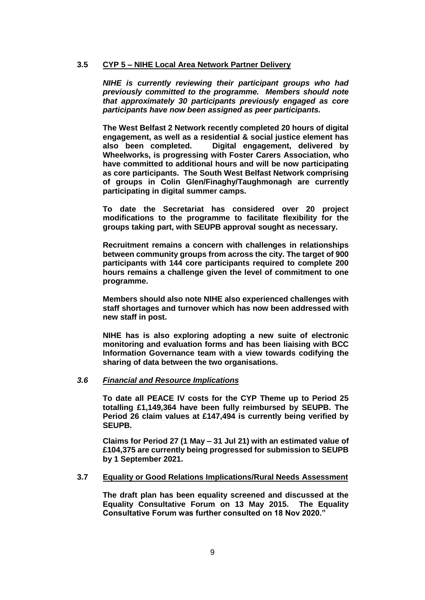### **3.5 CYP 5 – NIHE Local Area Network Partner Delivery**

*NIHE is currently reviewing their participant groups who had previously committed to the programme. Members should note that approximately 30 participants previously engaged as core participants have now been assigned as peer participants.*

**The West Belfast 2 Network recently completed 20 hours of digital engagement, as well as a residential & social justice element has also been completed. Digital engagement, delivered by Wheelworks, is progressing with Foster Carers Association, who have committed to additional hours and will be now participating as core participants. The South West Belfast Network comprising of groups in Colin Glen/Finaghy/Taughmonagh are currently participating in digital summer camps.**

**To date the Secretariat has considered over 20 project modifications to the programme to facilitate flexibility for the groups taking part, with SEUPB approval sought as necessary.** 

**Recruitment remains a concern with challenges in relationships between community groups from across the city. The target of 900 participants with 144 core participants required to complete 200 hours remains a challenge given the level of commitment to one programme.** 

**Members should also note NIHE also experienced challenges with staff shortages and turnover which has now been addressed with new staff in post.** 

**NIHE has is also exploring adopting a new suite of electronic monitoring and evaluation forms and has been liaising with BCC Information Governance team with a view towards codifying the sharing of data between the two organisations.** 

### *3.6 Financial and Resource Implications*

**To date all PEACE IV costs for the CYP Theme up to Period 25 totalling £1,149,364 have been fully reimbursed by SEUPB. The Period 26 claim values at £147,494 is currently being verified by SEUPB.**

**Claims for Period 27 (1 May – 31 Jul 21) with an estimated value of £104,375 are currently being progressed for submission to SEUPB by 1 September 2021.**

### **3.7 Equality or Good Relations Implications/Rural Needs Assessment**

**The draft plan has been equality screened and discussed at the Equality Consultative Forum on 13 May 2015. The Equality Consultative Forum was further consulted on 18 Nov 2020."**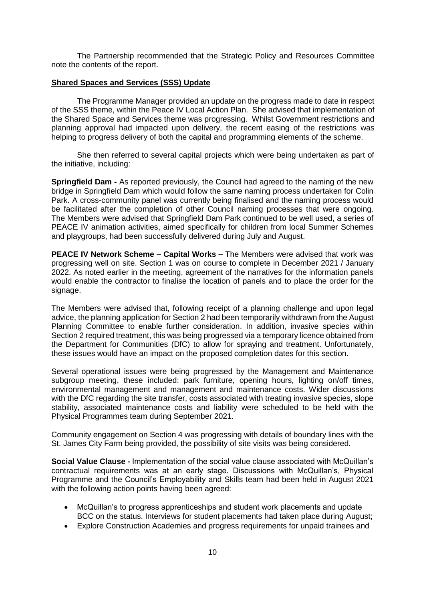The Partnership recommended that the Strategic Policy and Resources Committee note the contents of the report.

#### **Shared Spaces and Services (SSS) Update**

The Programme Manager provided an update on the progress made to date in respect of the SSS theme, within the Peace IV Local Action Plan. She advised that implementation of the Shared Space and Services theme was progressing. Whilst Government restrictions and planning approval had impacted upon delivery, the recent easing of the restrictions was helping to progress delivery of both the capital and programming elements of the scheme.

She then referred to several capital projects which were being undertaken as part of the initiative, including:

**Springfield Dam -** As reported previously, the Council had agreed to the naming of the new bridge in Springfield Dam which would follow the same naming process undertaken for Colin Park. A cross-community panel was currently being finalised and the naming process would be facilitated after the completion of other Council naming processes that were ongoing. The Members were advised that Springfield Dam Park continued to be well used, a series of PEACE IV animation activities, aimed specifically for children from local Summer Schemes and playgroups, had been successfully delivered during July and August.

**PEACE IV Network Scheme – Capital Works –** The Members were advised that work was progressing well on site. Section 1 was on course to complete in December 2021 / January 2022. As noted earlier in the meeting, agreement of the narratives for the information panels would enable the contractor to finalise the location of panels and to place the order for the signage.

The Members were advised that, following receipt of a planning challenge and upon legal advice, the planning application for Section 2 had been temporarily withdrawn from the August Planning Committee to enable further consideration. In addition, invasive species within Section 2 required treatment, this was being progressed via a temporary licence obtained from the Department for Communities (DfC) to allow for spraying and treatment. Unfortunately, these issues would have an impact on the proposed completion dates for this section.

Several operational issues were being progressed by the Management and Maintenance subgroup meeting, these included: park furniture, opening hours, lighting on/off times, environmental management and management and maintenance costs. Wider discussions with the DfC regarding the site transfer, costs associated with treating invasive species, slope stability, associated maintenance costs and liability were scheduled to be held with the Physical Programmes team during September 2021.

Community engagement on Section 4 was progressing with details of boundary lines with the St. James City Farm being provided, the possibility of site visits was being considered.

**Social Value Clause -** Implementation of the social value clause associated with McQuillan's contractual requirements was at an early stage. Discussions with McQuillan's, Physical Programme and the Council's Employability and Skills team had been held in August 2021 with the following action points having been agreed:

- McQuillan's to progress apprenticeships and student work placements and update BCC on the status. Interviews for student placements had taken place during August;
- Explore Construction Academies and progress requirements for unpaid trainees and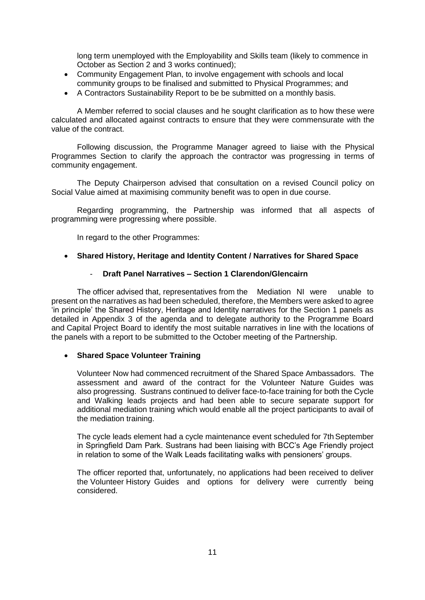long term unemployed with the Employability and Skills team (likely to commence in October as Section 2 and 3 works continued);

- Community Engagement Plan, to involve engagement with schools and local community groups to be finalised and submitted to Physical Programmes; and
- A Contractors Sustainability Report to be be submitted on a monthly basis.

A Member referred to social clauses and he sought clarification as to how these were calculated and allocated against contracts to ensure that they were commensurate with the value of the contract.

Following discussion, the Programme Manager agreed to liaise with the Physical Programmes Section to clarify the approach the contractor was progressing in terms of community engagement.

The Deputy Chairperson advised that consultation on a revised Council policy on Social Value aimed at maximising community benefit was to open in due course.

Regarding programming, the Partnership was informed that all aspects of programming were progressing where possible.

In regard to the other Programmes:

### **Shared History, Heritage and Identity Content / Narratives for Shared Space**

### - **Draft Panel Narratives – Section 1 Clarendon/Glencairn**

The officer advised that, representatives from the Mediation NI were unable to present on the narratives as had been scheduled, therefore, the Members were asked to agree 'in principle' the Shared History, Heritage and Identity narratives for the Section 1 panels as detailed in Appendix 3 of the agenda and to delegate authority to the Programme Board and Capital Project Board to identify the most suitable narratives in line with the locations of the panels with a report to be submitted to the October meeting of the Partnership.

## **Shared Space Volunteer Training**

Volunteer Now had commenced recruitment of the Shared Space Ambassadors. The assessment and award of the contract for the Volunteer Nature Guides was also progressing. Sustrans continued to deliver face-to-face training for both the Cycle and Walking leads projects and had been able to secure separate support for additional mediation training which would enable all the project participants to avail of the mediation training.

The cycle leads element had a cycle maintenance event scheduled for 7th September in Springfield Dam Park. Sustrans had been liaising with BCC's Age Friendly project in relation to some of the Walk Leads facilitating walks with pensioners' groups.

The officer reported that, unfortunately, no applications had been received to deliver the Volunteer History Guides and options for delivery were currently being considered.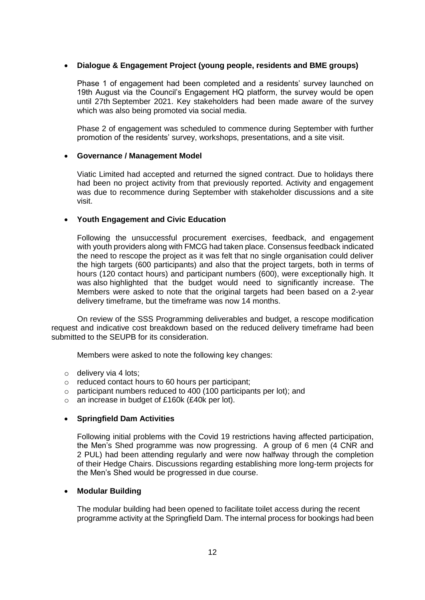## **Dialogue & Engagement Project (young people, residents and BME groups)**

Phase 1 of engagement had been completed and a residents' survey launched on 19th August via the Council's Engagement HQ platform, the survey would be open until 27th September 2021. Key stakeholders had been made aware of the survey which was also being promoted via social media.

Phase 2 of engagement was scheduled to commence during September with further promotion of the residents' survey, workshops, presentations, and a site visit.

### **Governance / Management Model**

Viatic Limited had accepted and returned the signed contract. Due to holidays there had been no project activity from that previously reported. Activity and engagement was due to recommence during September with stakeholder discussions and a site visit.

### **Youth Engagement and Civic Education**

Following the unsuccessful procurement exercises, feedback, and engagement with youth providers along with FMCG had taken place. Consensus feedback indicated the need to rescope the project as it was felt that no single organisation could deliver the high targets (600 participants) and also that the project targets, both in terms of hours (120 contact hours) and participant numbers (600), were exceptionally high. It was also highlighted that the budget would need to significantly increase. The Members were asked to note that the original targets had been based on a 2-year delivery timeframe, but the timeframe was now 14 months.

On review of the SSS Programming deliverables and budget, a rescope modification request and indicative cost breakdown based on the reduced delivery timeframe had been submitted to the SEUPB for its consideration.

Members were asked to note the following key changes:

- o delivery via 4 lots;
- o reduced contact hours to 60 hours per participant;
- o participant numbers reduced to 400 (100 participants per lot); and
- o an increase in budget of £160k (£40k per lot).

### **Springfield Dam Activities**

Following initial problems with the Covid 19 restrictions having affected participation, the Men's Shed programme was now progressing. A group of 6 men (4 CNR and 2 PUL) had been attending regularly and were now halfway through the completion of their Hedge Chairs. Discussions regarding establishing more long-term projects for the Men's Shed would be progressed in due course.

### **Modular Building**

The modular building had been opened to facilitate toilet access during the recent programme activity at the Springfield Dam. The internal process for bookings had been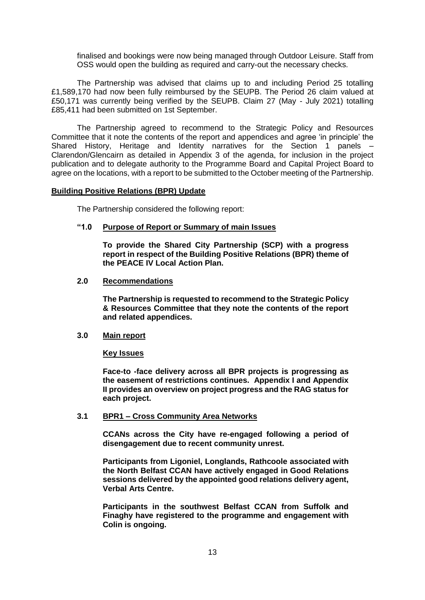finalised and bookings were now being managed through Outdoor Leisure. Staff from OSS would open the building as required and carry-out the necessary checks.

The Partnership was advised that claims up to and including Period 25 totalling £1,589,170 had now been fully reimbursed by the SEUPB. The Period 26 claim valued at £50,171 was currently being verified by the SEUPB. Claim 27 (May - July 2021) totalling £85,411 had been submitted on 1st September.

The Partnership agreed to recommend to the Strategic Policy and Resources Committee that it note the contents of the report and appendices and agree 'in principle' the Shared History, Heritage and Identity narratives for the Section 1 panels – Clarendon/Glencairn as detailed in Appendix 3 of the agenda, for inclusion in the project publication and to delegate authority to the Programme Board and Capital Project Board to agree on the locations, with a report to be submitted to the October meeting of the Partnership.

### **Building Positive Relations (BPR) Update**

The Partnership considered the following report:

## **"1.0 Purpose of Report or Summary of main Issues**

**To provide the Shared City Partnership (SCP) with a progress report in respect of the Building Positive Relations (BPR) theme of the PEACE IV Local Action Plan.**

#### **2.0 Recommendations**

**The Partnership is requested to recommend to the Strategic Policy & Resources Committee that they note the contents of the report and related appendices.**

### **3.0 Main report**

**Key Issues**

**Face-to -face delivery across all BPR projects is progressing as the easement of restrictions continues. Appendix I and Appendix II provides an overview on project progress and the RAG status for each project.**

### **3.1 BPR1 – Cross Community Area Networks**

**CCANs across the City have re-engaged following a period of disengagement due to recent community unrest.** 

**Participants from Ligoniel, Longlands, Rathcoole associated with the North Belfast CCAN have actively engaged in Good Relations sessions delivered by the appointed good relations delivery agent, Verbal Arts Centre.**

**Participants in the southwest Belfast CCAN from Suffolk and Finaghy have registered to the programme and engagement with Colin is ongoing.**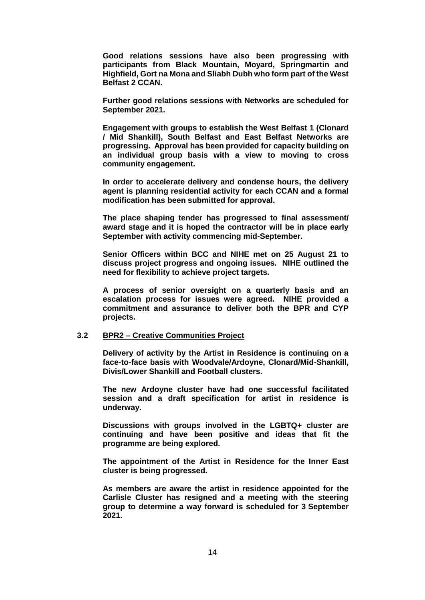**Good relations sessions have also been progressing with participants from Black Mountain, Moyard, Springmartin and Highfield, Gort na Mona and Sliabh Dubh who form part of the West Belfast 2 CCAN.** 

**Further good relations sessions with Networks are scheduled for September 2021.**

**Engagement with groups to establish the West Belfast 1 (Clonard / Mid Shankill), South Belfast and East Belfast Networks are progressing. Approval has been provided for capacity building on an individual group basis with a view to moving to cross community engagement.**

**In order to accelerate delivery and condense hours, the delivery agent is planning residential activity for each CCAN and a formal modification has been submitted for approval.**

**The place shaping tender has progressed to final assessment/ award stage and it is hoped the contractor will be in place early September with activity commencing mid-September.** 

**Senior Officers within BCC and NIHE met on 25 August 21 to discuss project progress and ongoing issues. NIHE outlined the need for flexibility to achieve project targets.**

**A process of senior oversight on a quarterly basis and an escalation process for issues were agreed. NIHE provided a commitment and assurance to deliver both the BPR and CYP projects.**

## **3.2 BPR2 – Creative Communities Project**

**Delivery of activity by the Artist in Residence is continuing on a face-to-face basis with Woodvale/Ardoyne, Clonard/Mid-Shankill, Divis/Lower Shankill and Football clusters.** 

**The new Ardoyne cluster have had one successful facilitated session and a draft specification for artist in residence is underway.**

**Discussions with groups involved in the LGBTQ+ cluster are continuing and have been positive and ideas that fit the programme are being explored.**

**The appointment of the Artist in Residence for the Inner East cluster is being progressed.**

**As members are aware the artist in residence appointed for the Carlisle Cluster has resigned and a meeting with the steering group to determine a way forward is scheduled for 3 September 2021.**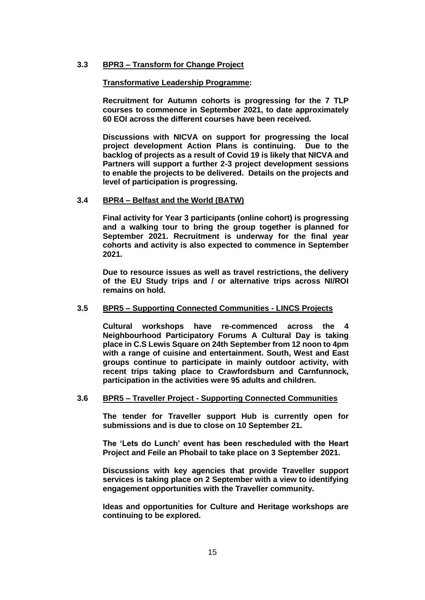## **3.3 BPR3 – Transform for Change Project**

#### **Transformative Leadership Programme:**

**Recruitment for Autumn cohorts is progressing for the 7 TLP courses to commence in September 2021, to date approximately 60 EOI across the different courses have been received.** 

**Discussions with NICVA on support for progressing the local project development Action Plans is continuing. Due to the backlog of projects as a result of Covid 19 is likely that NICVA and Partners will support a further 2-3 project development sessions to enable the projects to be delivered. Details on the projects and level of participation is progressing.**

### **3.4 BPR4 – Belfast and the World (BATW)**

**Final activity for Year 3 participants (online cohort) is progressing and a walking tour to bring the group together is planned for September 2021. Recruitment is underway for the final year cohorts and activity is also expected to commence in September 2021.**

**Due to resource issues as well as travel restrictions, the delivery of the EU Study trips and / or alternative trips across NI/ROI remains on hold.** 

#### **3.5 BPR5 – Supporting Connected Communities - LINCS Projects**

**Cultural workshops have re-commenced across the 4 Neighbourhood Participatory Forums A Cultural Day is taking place in C.S Lewis Square on 24th September from 12 noon to 4pm with a range of cuisine and entertainment. South, West and East groups continue to participate in mainly outdoor activity, with recent trips taking place to Crawfordsburn and Carnfunnock, participation in the activities were 95 adults and children.** 

### **3.6 BPR5 – Traveller Project - Supporting Connected Communities**

**The tender for Traveller support Hub is currently open for submissions and is due to close on 10 September 21.** 

**The 'Lets do Lunch' event has been rescheduled with the Heart Project and Feile an Phobail to take place on 3 September 2021.**

**Discussions with key agencies that provide Traveller support services is taking place on 2 September with a view to identifying engagement opportunities with the Traveller community.**

**Ideas and opportunities for Culture and Heritage workshops are continuing to be explored.**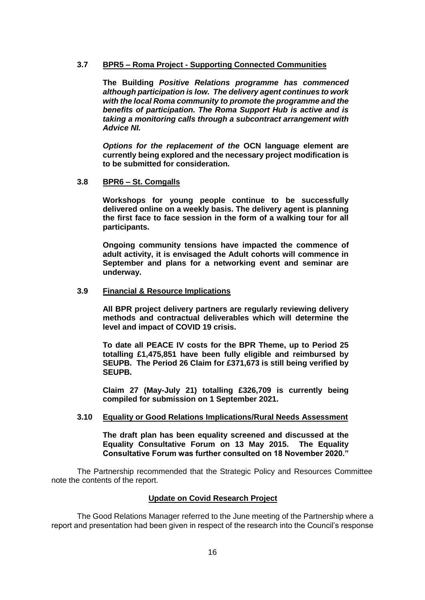### **3.7 BPR5 – Roma Project - Supporting Connected Communities**

**The Building** *Positive Relations programme has commenced although participation is low. The delivery agent continues to work with the local Roma community to promote the programme and the benefits of participation. The Roma Support Hub is active and is taking a monitoring calls through a subcontract arrangement with Advice NI.* 

*Options for the replacement of the* **OCN language element are currently being explored and the necessary project modification is to be submitted for consideration.** 

### **3.8 BPR6 – St. Comgalls**

**Workshops for young people continue to be successfully delivered online on a weekly basis. The delivery agent is planning the first face to face session in the form of a walking tour for all participants.** 

**Ongoing community tensions have impacted the commence of adult activity, it is envisaged the Adult cohorts will commence in September and plans for a networking event and seminar are underway.** 

### **3.9 Financial & Resource Implications**

**All BPR project delivery partners are regularly reviewing delivery methods and contractual deliverables which will determine the level and impact of COVID 19 crisis.** 

**To date all PEACE IV costs for the BPR Theme, up to Period 25 totalling £1,475,851 have been fully eligible and reimbursed by SEUPB. The Period 26 Claim for £371,673 is still being verified by SEUPB.** 

**Claim 27 (May-July 21) totalling £326,709 is currently being compiled for submission on 1 September 2021.**

### **3.10 Equality or Good Relations Implications/Rural Needs Assessment**

**The draft plan has been equality screened and discussed at the Equality Consultative Forum on 13 May 2015. The Equality Consultative Forum was further consulted on 18 November 2020."**

The Partnership recommended that the Strategic Policy and Resources Committee note the contents of the report.

### **Update on Covid Research Project**

The Good Relations Manager referred to the June meeting of the Partnership where a report and presentation had been given in respect of the research into the Council's response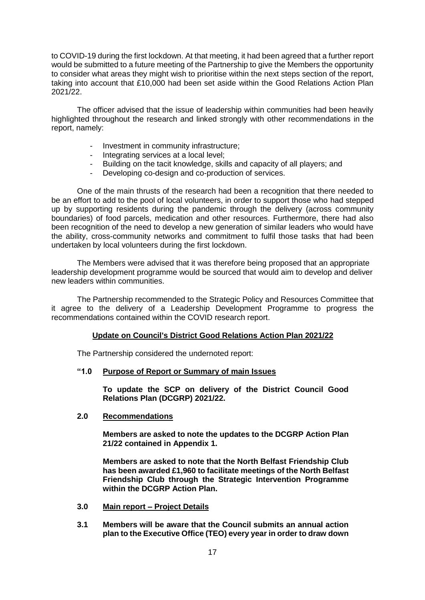to COVID-19 during the first lockdown. At that meeting, it had been agreed that a further report would be submitted to a future meeting of the Partnership to give the Members the opportunity to consider what areas they might wish to prioritise within the next steps section of the report, taking into account that £10,000 had been set aside within the Good Relations Action Plan 2021/22.

The officer advised that the issue of leadership within communities had been heavily highlighted throughout the research and linked strongly with other recommendations in the report, namely:

- Investment in community infrastructure;
- Integrating services at a local level;
- Building on the tacit knowledge, skills and capacity of all players; and
- Developing co-design and co-production of services.

One of the main thrusts of the research had been a recognition that there needed to be an effort to add to the pool of local volunteers, in order to support those who had stepped up by supporting residents during the pandemic through the delivery (across community boundaries) of food parcels, medication and other resources. Furthermore, there had also been recognition of the need to develop a new generation of similar leaders who would have the ability, cross-community networks and commitment to fulfil those tasks that had been undertaken by local volunteers during the first lockdown.

The Members were advised that it was therefore being proposed that an appropriate leadership development programme would be sourced that would aim to develop and deliver new leaders within communities.

The Partnership recommended to the Strategic Policy and Resources Committee that it agree to the delivery of a Leadership Development Programme to progress the recommendations contained within the COVID research report.

## **Update on Council's District Good Relations Action Plan 2021/22**

The Partnership considered the undernoted report:

# **"1.0 Purpose of Report or Summary of main Issues**

**To update the SCP on delivery of the District Council Good Relations Plan (DCGRP) 2021/22.**

### **2.0 Recommendations**

**Members are asked to note the updates to the DCGRP Action Plan 21/22 contained in Appendix 1.**

**Members are asked to note that the North Belfast Friendship Club has been awarded £1,960 to facilitate meetings of the North Belfast Friendship Club through the Strategic Intervention Programme within the DCGRP Action Plan.**

- **3.0 Main report – Project Details**
- **3.1 Members will be aware that the Council submits an annual action plan to the Executive Office (TEO) every year in order to draw down**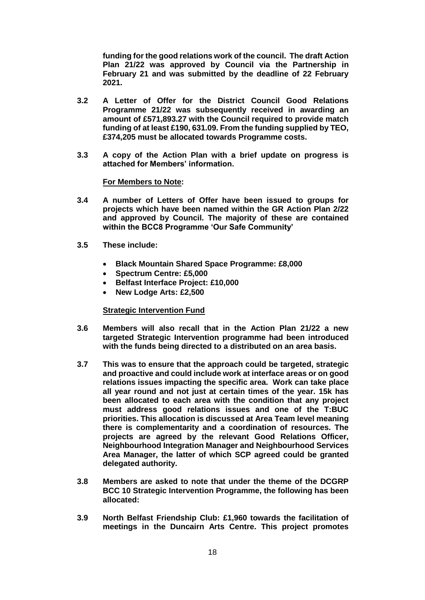**funding for the good relations work of the council. The draft Action Plan 21/22 was approved by Council via the Partnership in February 21 and was submitted by the deadline of 22 February 2021.**

- **3.2 A Letter of Offer for the District Council Good Relations Programme 21/22 was subsequently received in awarding an amount of £571,893.27 with the Council required to provide match funding of at least £190, 631.09. From the funding supplied by TEO, £374,205 must be allocated towards Programme costs.**
- **3.3 A copy of the Action Plan with a brief update on progress is attached for Members' information.**

### **For Members to Note:**

- **3.4 A number of Letters of Offer have been issued to groups for projects which have been named within the GR Action Plan 2/22 and approved by Council. The majority of these are contained within the BCC8 Programme 'Our Safe Community'**
- **3.5 These include:**
	- **Black Mountain Shared Space Programme: £8,000**
	- **Spectrum Centre: £5,000**
	- **Belfast Interface Project: £10,000**
	- **New Lodge Arts: £2,500**

### **Strategic Intervention Fund**

- **3.6 Members will also recall that in the Action Plan 21/22 a new targeted Strategic Intervention programme had been introduced with the funds being directed to a distributed on an area basis.**
- **3.7 This was to ensure that the approach could be targeted, strategic and proactive and could include work at interface areas or on good relations issues impacting the specific area. Work can take place all year round and not just at certain times of the year. 15k has been allocated to each area with the condition that any project must address good relations issues and one of the T:BUC priorities. This allocation is discussed at Area Team level meaning there is complementarity and a coordination of resources. The projects are agreed by the relevant Good Relations Officer, Neighbourhood Integration Manager and Neighbourhood Services Area Manager, the latter of which SCP agreed could be granted delegated authority.**
- **3.8 Members are asked to note that under the theme of the DCGRP BCC 10 Strategic Intervention Programme, the following has been allocated:**
- **3.9 North Belfast Friendship Club: £1,960 towards the facilitation of meetings in the Duncairn Arts Centre. This project promotes**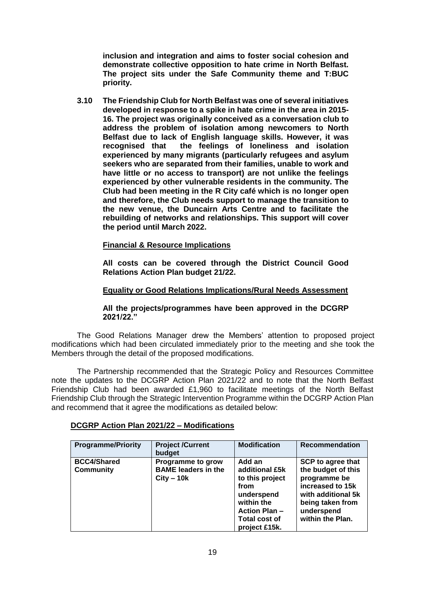**inclusion and integration and aims to foster social cohesion and demonstrate collective opposition to hate crime in North Belfast. The project sits under the Safe Community theme and T:BUC priority.**

**3.10 The Friendship Club for North Belfast was one of several initiatives developed in response to a spike in hate crime in the area in 2015- 16. The project was originally conceived as a conversation club to address the problem of isolation among newcomers to North Belfast due to lack of English language skills. However, it was recognised that the feelings of loneliness and isolation experienced by many migrants (particularly refugees and asylum seekers who are separated from their families, unable to work and have little or no access to transport) are not unlike the feelings experienced by other vulnerable residents in the community. The Club had been meeting in the R City café which is no longer open and therefore, the Club needs support to manage the transition to the new venue, the Duncairn Arts Centre and to facilitate the rebuilding of networks and relationships. This support will cover the period until March 2022.**

# **Financial & Resource Implications**

**All costs can be covered through the District Council Good Relations Action Plan budget 21/22.**

### **Equality or Good Relations Implications/Rural Needs Assessment**

**All the projects/programmes have been approved in the DCGRP 2021/22."**

The Good Relations Manager drew the Members' attention to proposed project modifications which had been circulated immediately prior to the meeting and she took the Members through the detail of the proposed modifications.

The Partnership recommended that the Strategic Policy and Resources Committee note the updates to the DCGRP Action Plan 2021/22 and to note that the North Belfast Friendship Club had been awarded £1,960 to facilitate meetings of the North Belfast Friendship Club through the Strategic Intervention Programme within the DCGRP Action Plan and recommend that it agree the modifications as detailed below:

| <b>Programme/Priority</b>              | <b>Project /Current</b><br>budget                               | <b>Modification</b>                                                                                                                             | Recommendation                                                                                                                                                 |
|----------------------------------------|-----------------------------------------------------------------|-------------------------------------------------------------------------------------------------------------------------------------------------|----------------------------------------------------------------------------------------------------------------------------------------------------------------|
| <b>BCC4/Shared</b><br><b>Community</b> | Programme to grow<br><b>BAME leaders in the</b><br>$City - 10k$ | Add an<br>additional £5k<br>to this project<br>from<br>underspend<br>within the<br><b>Action Plan-</b><br><b>Total cost of</b><br>project £15k. | <b>SCP</b> to agree that<br>the budget of this<br>programme be<br>increased to 15k<br>with additional 5k<br>being taken from<br>underspend<br>within the Plan. |

### **DCGRP Action Plan 2021/22 – Modifications**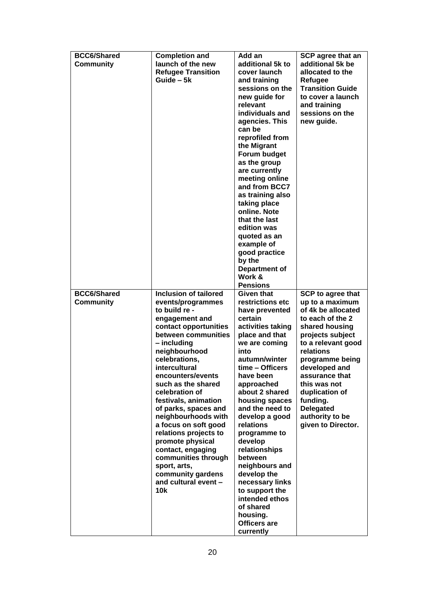| <b>BCC6/Shared</b> | <b>Completion and</b>                        | Add an                          | SCP agree that an               |
|--------------------|----------------------------------------------|---------------------------------|---------------------------------|
| <b>Community</b>   | launch of the new                            | additional 5k to                | additional 5k be                |
|                    | <b>Refugee Transition</b>                    | cover launch                    | allocated to the                |
|                    | Guide - 5k                                   | and training                    | Refugee                         |
|                    |                                              | sessions on the                 | <b>Transition Guide</b>         |
|                    |                                              | new guide for                   | to cover a launch               |
|                    |                                              | relevant                        | and training                    |
|                    |                                              | individuals and                 | sessions on the                 |
|                    |                                              | agencies. This                  | new guide.                      |
|                    |                                              | can be                          |                                 |
|                    |                                              | reprofiled from                 |                                 |
|                    |                                              | the Migrant                     |                                 |
|                    |                                              | Forum budget                    |                                 |
|                    |                                              | as the group                    |                                 |
|                    |                                              | are currently                   |                                 |
|                    |                                              | meeting online                  |                                 |
|                    |                                              | and from BCC7                   |                                 |
|                    |                                              | as training also                |                                 |
|                    |                                              | taking place                    |                                 |
|                    |                                              | online. Note                    |                                 |
|                    |                                              | that the last                   |                                 |
|                    |                                              | edition was                     |                                 |
|                    |                                              | quoted as an                    |                                 |
|                    |                                              | example of                      |                                 |
|                    |                                              | good practice                   |                                 |
|                    |                                              | by the                          |                                 |
|                    |                                              | Department of                   |                                 |
|                    |                                              | Work &                          |                                 |
|                    |                                              | <b>Pensions</b>                 |                                 |
| <b>BCC6/Shared</b> | <b>Inclusion of tailored</b>                 | Given that                      | <b>SCP to agree that</b>        |
| <b>Community</b>   | events/programmes                            | restrictions etc                | up to a maximum                 |
|                    | to build re -                                | have prevented                  | of 4k be allocated              |
|                    | engagement and                               | certain                         | to each of the 2                |
|                    | contact opportunities<br>between communities | activities taking               | shared housing                  |
|                    | - including                                  | place and that<br>we are coming | projects subject                |
|                    | neighbourhood                                | into                            | to a relevant good<br>relations |
|                    | celebrations,                                | autumn/winter                   | programme being                 |
|                    | intercultural                                | time - Officers                 | developed and                   |
|                    | encounters/events                            | have been                       | assurance that                  |
|                    | such as the shared                           | approached                      | this was not                    |
|                    | celebration of                               | about 2 shared                  | duplication of                  |
|                    | festivals, animation                         | housing spaces                  | funding.                        |
|                    | of parks, spaces and                         | and the need to                 | <b>Delegated</b>                |
|                    | neighbourhoods with                          | develop a good                  | authority to be                 |
|                    | a focus on soft good                         | relations                       | given to Director.              |
|                    | relations projects to                        | programme to                    |                                 |
|                    | promote physical                             | develop                         |                                 |
|                    | contact, engaging                            | relationships                   |                                 |
|                    | communities through                          | between                         |                                 |
|                    | sport, arts,                                 | neighbours and                  |                                 |
|                    | community gardens                            | develop the                     |                                 |
|                    | and cultural event -                         | necessary links                 |                                 |
|                    | 10k                                          | to support the                  |                                 |
|                    |                                              | intended ethos                  |                                 |
|                    |                                              | of shared                       |                                 |
|                    |                                              | housing.                        |                                 |
|                    |                                              | <b>Officers are</b>             |                                 |
|                    |                                              | currently                       |                                 |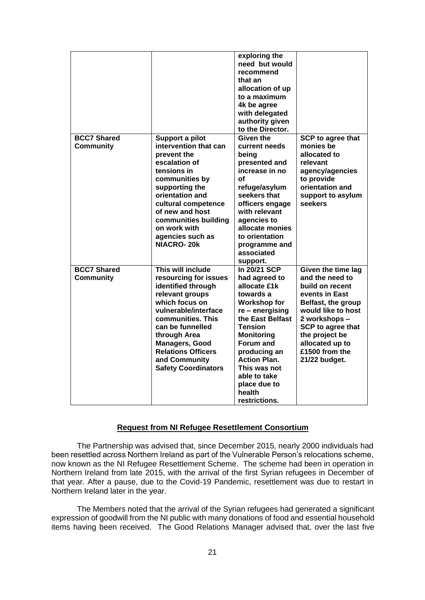|                    |                                                                                                                                                                                                                                                                        | exploring the<br>need but would<br>recommend<br>that an<br>allocation of up<br>to a maximum<br>4k be agree<br>with delegated<br>authority given<br>to the Director.                                                                                                            |                                                                                                                                                                                                                       |
|--------------------|------------------------------------------------------------------------------------------------------------------------------------------------------------------------------------------------------------------------------------------------------------------------|--------------------------------------------------------------------------------------------------------------------------------------------------------------------------------------------------------------------------------------------------------------------------------|-----------------------------------------------------------------------------------------------------------------------------------------------------------------------------------------------------------------------|
| <b>BCC7 Shared</b> | Support a pilot                                                                                                                                                                                                                                                        | Given the                                                                                                                                                                                                                                                                      | SCP to agree that                                                                                                                                                                                                     |
| <b>Community</b>   | intervention that can<br>prevent the<br>escalation of<br>tensions in<br>communities by<br>supporting the<br>orientation and<br>cultural competence<br>of new and host<br>communities building<br>on work with<br>agencies such as<br><b>NIACRO-20k</b>                 | current needs<br>being<br>presented and<br>increase in no<br>οf<br>refuge/asylum<br>seekers that<br>officers engage<br>with relevant<br>agencies to<br>allocate monies<br>to orientation<br>programme and<br>associated<br>support.                                            | monies be<br>allocated to<br>relevant<br>agency/agencies<br>to provide<br>orientation and<br>support to asylum<br>seekers                                                                                             |
| <b>BCC7 Shared</b> | This will include                                                                                                                                                                                                                                                      | In 20/21 SCP                                                                                                                                                                                                                                                                   | Given the time lag                                                                                                                                                                                                    |
| <b>Community</b>   | resourcing for issues<br>identified through<br>relevant groups<br>which focus on<br>vulnerable/interface<br>communities. This<br>can be funnelled<br>through Area<br><b>Managers, Good</b><br><b>Relations Officers</b><br>and Community<br><b>Safety Coordinators</b> | had agreed to<br>allocate £1k<br>towards a<br><b>Workshop for</b><br>re - energising<br>the East Belfast<br><b>Tension</b><br><b>Monitoring</b><br>Forum and<br>producing an<br><b>Action Plan.</b><br>This was not<br>able to take<br>place due to<br>health<br>restrictions. | and the need to<br>build on recent<br>events in East<br>Belfast, the group<br>would like to host<br>2 workshops -<br><b>SCP to agree that</b><br>the project be<br>allocated up to<br>£1500 from the<br>21/22 budget. |

### **Request from NI Refugee Resettlement Consortium**

The Partnership was advised that, since December 2015, nearly 2000 individuals had been resettled across Northern Ireland as part of the Vulnerable Person's relocations scheme, now known as the NI Refugee Resettlement Scheme. The scheme had been in operation in Northern Ireland from late 2015, with the arrival of the first Syrian refugees in December of that year. After a pause, due to the Covid-19 Pandemic, resettlement was due to restart in Northern Ireland later in the year.

The Members noted that the arrival of the Syrian refugees had generated a significant expression of goodwill from the NI public with many donations of food and essential household items having been received. The Good Relations Manager advised that, over the last five